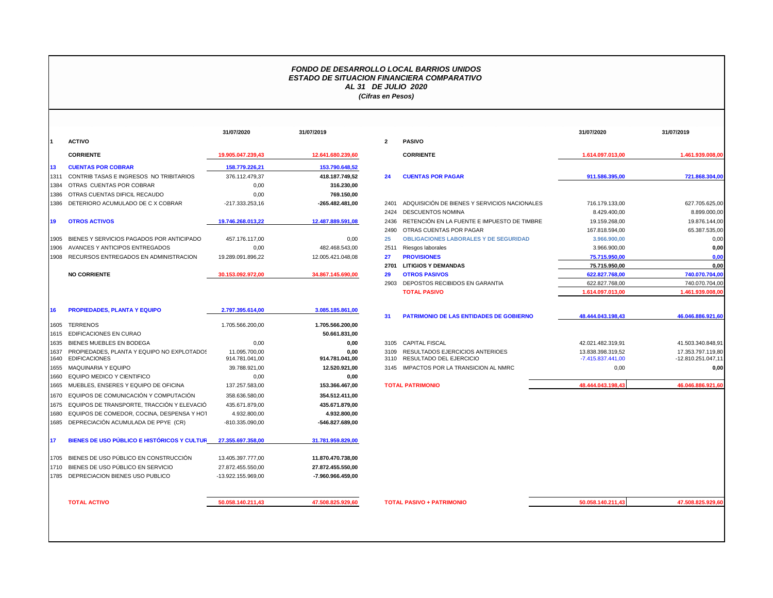## *FONDO DE DESARROLLO LOCAL BARRIOS UNIDOS ESTADO DE SITUACION FINANCIERA COMPARATIVO AL 31 DE JULIO 2020 (Cifras en Pesos)*

|              |                                                                    | 31/07/2020                      | 31/07/2019             |              |                                |
|--------------|--------------------------------------------------------------------|---------------------------------|------------------------|--------------|--------------------------------|
| $\mathbf 1$  | <b>ACTIVO</b>                                                      |                                 |                        | $\mathbf{2}$ | <b>PASIVO</b>                  |
|              | <b>CORRIENTE</b>                                                   | 19.905.047.239,43               | 12.641.680.239,60      |              | <b>CORRIE</b>                  |
| 13           | <b>CUENTAS POR COBRAR</b>                                          | 158.779.226,21                  | 153.790.648,52         |              |                                |
| 1311         | CONTRIB TASAS E INGRESOS NO TRIBITARIOS                            | 376.112.479,37                  | 418.187.749,52         | 24           | <b>CUENT/</b>                  |
| 1384         | OTRAS CUENTAS POR COBRAR                                           | 0,00                            | 316.230,00             |              |                                |
| 1386         | OTRAS CUENTAS DIFICIL RECAUDO                                      | 0,00                            | 769.150,00             |              |                                |
| 1386         | DETERIORO ACUMULADO DE C X COBRAR                                  | -217.333.253,16                 | -265.482.481,00        | 2401         | <b>ADQUIS</b>                  |
|              |                                                                    |                                 |                        | 2424         | <b>DESCUI</b>                  |
| 19           | <b>OTROS ACTIVOS</b>                                               | 19.746.268.013,22               | 12.487.889.591,08      | 2436         | <b>RETENO</b>                  |
|              |                                                                    |                                 |                        | 2490         | <b>OTRAS</b>                   |
| 1905         | BIENES Y SERVICIOS PAGADOS POR ANTICIPADO                          | 457.176.117,00                  | 0,00                   | 25           | <b>OBLIGA</b>                  |
| 1906         | AVANCES Y ANTICIPOS ENTREGADOS                                     | 0.00                            | 482.468.543.00         | 2511         | Riesgos                        |
| 1908         | RECURSOS ENTREGADOS EN ADMINISTRACION                              | 19.289.091.896.22               | 12.005.421.048.08      | 27           | <b>PROVIS</b>                  |
|              |                                                                    |                                 |                        | 2701         | <b>LITIGIO</b>                 |
|              | <b>NO CORRIENTE</b>                                                | 30.153.092.972,00               | 34.867.145.690,00      | 29           | <b>OTROS</b>                   |
|              |                                                                    |                                 |                        | 2903         | DEPOS <sup>-</sup>             |
|              |                                                                    |                                 |                        |              | <b>TOTAL</b>                   |
| 16           | <b>PROPIEDADES, PLANTA Y EQUIPO</b>                                | 2.797.395.614,00                | 3.085.185.861,00       | 31           | <b>PATRIM</b>                  |
| 1605         | <b>TERRENOS</b>                                                    | 1.705.566.200,00                | 1.705.566.200,00       |              |                                |
| 1615         | <b>EDIFICACIONES EN CURAO</b>                                      |                                 | 50.661.831,00          |              |                                |
| 1635         | <b>BIENES MUEBLES EN BODEGA</b>                                    | 0,00                            | 0,00                   | 3105         | <b>CAPITA</b>                  |
| 1637<br>1640 | PROPIEDADES, PLANTA Y EQUIPO NO EXPLOTADOS<br><b>EDIFICACIONES</b> | 11.095.700.00<br>914.781.041.00 | 0.00<br>914.781.041,00 | 3109<br>3110 | <b>RESULT</b><br><b>RESULT</b> |
| 1655         | <b>MAQUINARIA Y EQUIPO</b>                                         | 39.788.921.00                   | 12.520.921,00          | 3145         | <b>IMPACT</b>                  |
| 1660         | EQUIPO MEDICO Y CIENTIFICO                                         | 0.00                            | 0.00                   |              |                                |
| 1665         | MUEBLES, ENSERES Y EQUIPO DE OFICINA                               | 137.257.583,00                  | 153.366.467,00         |              | <b>TOTAL PATRIN</b>            |
| 1670         | EQUIPOS DE COMUNICACIÓN Y COMPUTACIÓN                              | 358.636.580,00                  | 354.512.411,00         |              |                                |
| 1675         | EQUIPOS DE TRANSPORTE, TRACCIÓN Y ELEVACIÓ                         | 435.671.879,00                  | 435.671.879,00         |              |                                |
| 1680         | EQUIPOS DE COMEDOR, COCINA, DESPENSA Y HOT                         | 4.932.800.00                    | 4.932.800,00           |              |                                |
| 1685         | DEPRECIACIÓN ACUMULADA DE PPYE (CR)                                | -810.335.090,00                 | -546.827.689,00        |              |                                |
| 17           | BIENES DE USO PÚBLICO E HISTÓRICOS Y CULTUR                        | 27.355.697.358,00               | 31.781.959.829,00      |              |                                |
| 1705         | BIENES DE USO PÚBLICO EN CONSTRUCCIÓN                              | 13.405.397.777,00               | 11.870.470.738,00      |              |                                |
| 1710         | BIENES DE USO PÚBLICO EN SERVICIO                                  | 27.872.455.550,00               | 27.872.455.550,00      |              |                                |
| 1785         | DEPRECIACION BIENES USO PUBLICO                                    | -13.922.155.969,00              | -7.960.966.459,00      |              |                                |
|              |                                                                    |                                 |                        |              |                                |

|      |                                                                  | 31/07/2020                      | 31/07/2019             |                |                                                            | 31/07/2020                             | 31/07/2019                              |
|------|------------------------------------------------------------------|---------------------------------|------------------------|----------------|------------------------------------------------------------|----------------------------------------|-----------------------------------------|
|      | <b>ACTIVO</b>                                                    |                                 |                        | $\overline{2}$ | <b>PASIVO</b>                                              |                                        |                                         |
|      | <b>CORRIENTE</b>                                                 | 19.905.047.239.43               | 12.641.680.239,60      |                | <b>CORRIENTE</b>                                           | 1.614.097.013.00                       | 1.461.939.008.00                        |
| 13   | <b>CUENTAS POR COBRAR</b>                                        | 158.779.226,21                  | 153.790.648,52         |                |                                                            |                                        |                                         |
| 1311 | CONTRIB TASAS E INGRESOS NO TRIBITARIOS                          | 376.112.479.37                  | 418.187.749.52         | 24             | <b>CUENTAS POR PAGAR</b>                                   | 911.586.395.00                         | 721.868.304.00                          |
|      | 1384 OTRAS CUENTAS POR COBRAR                                    | 0,00                            | 316.230,00             |                |                                                            |                                        |                                         |
|      | 1386 OTRAS CUENTAS DIFICIL RECAUDO                               | 0,00                            | 769.150,00             |                |                                                            |                                        |                                         |
|      | 1386 DETERIORO ACUMULADO DE CX COBRAR                            | -217.333.253,16                 | -265.482.481,00        | 2401           | ADQUISICIÓN DE BIENES Y SERVICIOS NACIONALES               | 716.179.133,00                         | 627.705.625,00                          |
|      |                                                                  |                                 |                        | 2424           | <b>DESCUENTOS NOMINA</b>                                   | 8.429.400,00                           | 8.899.000,00                            |
| 19   | <b>OTROS ACTIVOS</b>                                             | 19.746.268.013.22               | 12.487.889.591,08      | 2436           | RETENCIÓN EN LA FUENTE E IMPUESTO DE TIMBRE                | 19.159.268,00                          | 19.876.144,00                           |
|      |                                                                  |                                 |                        | 2490           | OTRAS CUENTAS POR PAGAR                                    | 167.818.594,00                         | 65.387.535,00                           |
|      | 1905 BIENES Y SERVICIOS PAGADOS POR ANTICIPADO                   | 457.176.117,00                  | 0,00                   | 25             | <b>OBLIGACIONES LABORALES Y DE SEGURIDAD</b>               | 3.966.900,00                           | 0,00                                    |
|      | 1906 AVANCES Y ANTICIPOS ENTREGADOS                              | 0,00                            | 482.468.543.00         | 2511           | Riesgos laborales                                          | 3.966.900,00                           | 0,00                                    |
|      | 1908 RECURSOS ENTREGADOS EN ADMINISTRACION                       | 19.289.091.896,22               | 12.005.421.048,08      | 27             | <b>PROVISIONES</b>                                         | 75.715.950,00                          | 0.00                                    |
|      |                                                                  |                                 |                        | 2701           | <b>LITIGIOS Y DEMANDAS</b>                                 | 75.715.950.00                          | 0.00                                    |
|      | <b>NO CORRIENTE</b>                                              | 30.153.092.972.00               | 34.867.145.690,00      | 29             | <b>OTROS PASIVOS</b>                                       | 622.827.768.00                         | 740.070.704.00                          |
|      |                                                                  |                                 |                        | 2903           | DEPOSTOS RECIBIDOS EN GARANTIA                             | 622.827.768,00                         | 740.070.704,00                          |
|      |                                                                  |                                 |                        |                | <b>TOTAL PASIVO</b>                                        | 1.614.097.013,00                       | 1.461.939.008,00                        |
| 16   | <b>PROPIEDADES, PLANTA Y EQUIPO</b>                              | 2.797.395.614,00                | 3.085.185.861,00       |                |                                                            |                                        |                                         |
|      |                                                                  |                                 |                        | 31             | <b>PATRIMONIO DE LAS ENTIDADES DE GOBIERNO</b>             | 48.444.043.198,43                      | 46.046.886.921,60                       |
| 1605 | <b>TERRENOS</b>                                                  | 1.705.566.200,00                | 1.705.566.200,00       |                |                                                            |                                        |                                         |
|      | 1615 EDIFICACIONES EN CURAO                                      |                                 | 50.661.831,00          |                |                                                            |                                        |                                         |
|      | 1635 BIENES MUEBLES EN BODEGA                                    | 0,00                            | 0,00                   |                | 3105 CAPITAL FISCAL                                        | 42.021.482.319.91                      | 41.503.340.848,91                       |
| 1637 | PROPIEDADES, PLANTA Y EQUIPO NO EXPLOTADOS<br>1640 EDIFICACIONES | 11.095.700,00<br>914.781.041,00 | 0.00<br>914.781.041,00 | 3109<br>3110   | RESULTADOS EJERCICIOS ANTERIOES<br>RESULTADO DEL EJERCICIO | 13.838.398.319,52<br>-7.415.837.441,00 | 17.353.797.119,80<br>-12.810.251.047,11 |
|      | 1655 MAQUINARIA Y EQUIPO                                         | 39.788.921,00                   | 12.520.921,00          | 3145           | IMPACTOS POR LA TRANSICION AL NMRC                         | 0,00                                   | 0.00                                    |
|      | 1660 EQUIPO MEDICO Y CIENTIFICO                                  | 0.00                            | 0,00                   |                |                                                            |                                        |                                         |
|      | 1665 MUEBLES, ENSERES Y EQUIPO DE OFICINA                        | 137.257.583,00                  | 153.366.467,00         |                | <b>TOTAL PATRIMONIO</b>                                    | 48.444.043.198,43                      | 46.046.886.921,60                       |
|      | 1670 EQUIPOS DE COMUNICACIÓN Y COMPUTACIÓN                       | 358.636.580,00                  | 354.512.411,00         |                |                                                            |                                        |                                         |
|      | 1675 EQUIPOS DE TRANSPORTE, TRACCIÓN Y ELEVACIÓ                  | 435.671.879,00                  | 435.671.879,00         |                |                                                            |                                        |                                         |
|      | 1680 EQUIPOS DE COMEDOR, COCINA, DESPENSA Y HOT                  | 4.932.800,00                    | 4.932.800,00           |                |                                                            |                                        |                                         |
|      | 1685 DEPRECIACIÓN ACUMULADA DE PPYE (CR)                         | -810.335.090,00                 | $-546.827.689,00$      |                |                                                            |                                        |                                         |
| 17   | BIENES DE USO PÚBLICO E HISTÓRICOS Y CULTUR                      | 27.355.697.358.00               | 31.781.959.829,00      |                |                                                            |                                        |                                         |
|      | 1705 BIENES DE USO PÚBLICO EN CONSTRUCCIÓN                       | 13.405.397.777,00               | 11.870.470.738,00      |                |                                                            |                                        |                                         |
|      | 1710 BIENES DE USO PÚBLICO EN SERVICIO                           | 27.872.455.550,00               | 27.872.455.550,00      |                |                                                            |                                        |                                         |
|      | 1785 DEPRECIACION BIENES USO PUBLICO                             | -13.922.155.969,00              | -7.960.966.459,00      |                |                                                            |                                        |                                         |

**50.058.140.211,43 47.508.825.929,6**